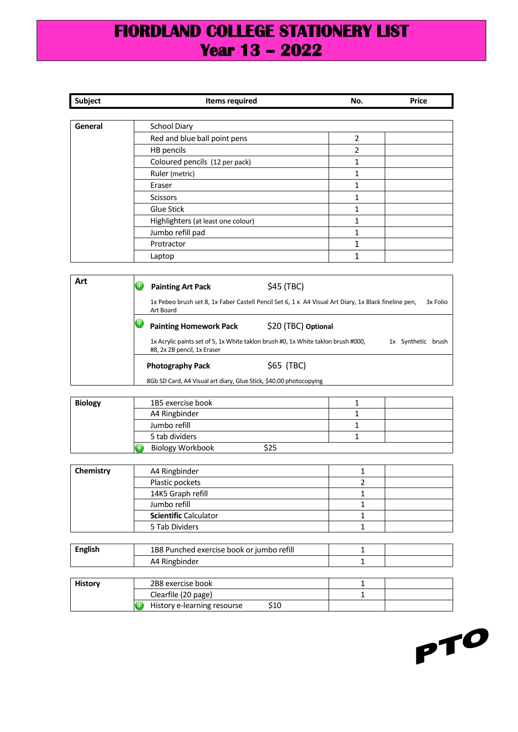## **FIORDLAND COLLEGE STATIONERY LIST Year 13 – 2022**

| Subject | <b>Items required</b>                                                                                             |                     | No.            | <b>Price</b>       |
|---------|-------------------------------------------------------------------------------------------------------------------|---------------------|----------------|--------------------|
|         |                                                                                                                   |                     |                |                    |
| General | <b>School Diary</b>                                                                                               |                     |                |                    |
|         | Red and blue ball point pens                                                                                      |                     | $\overline{2}$ |                    |
|         | HB pencils                                                                                                        |                     | $\overline{2}$ |                    |
|         | Coloured pencils (12 per pack)                                                                                    |                     | $\mathbf{1}$   |                    |
|         | Ruler (metric)                                                                                                    |                     | 1              |                    |
|         | Eraser                                                                                                            |                     | $\mathbf{1}$   |                    |
|         | <b>Scissors</b>                                                                                                   |                     | 1              |                    |
|         | Glue Stick                                                                                                        |                     | 1              |                    |
|         | Highlighters (at least one colour)                                                                                |                     | 1              |                    |
|         | Jumbo refill pad                                                                                                  |                     | 1              |                    |
|         | Protractor                                                                                                        |                     | $\mathbf{1}$   |                    |
|         | Laptop                                                                                                            |                     | $\mathbf{1}$   |                    |
|         |                                                                                                                   |                     |                |                    |
| Art     | 8<br><b>Painting Art Pack</b>                                                                                     | \$45 (TBC)          |                |                    |
|         | 1x Pebeo brush set 8, 1x Faber Castell Pencil Set 6, 1 x A4 Visual Art Diary, 1x Black fineline pen,<br>Art Board |                     |                | 3x Folio           |
|         | 8<br><b>Painting Homework Pack</b>                                                                                | \$20 (TBC) Optional |                |                    |
|         | 1x Acrylic paints set of 5, 1x White taklon brush #0, 1x White taklon brush #000,<br>#8, 2x 2B pencil, 1x Eraser  |                     |                | 1x Synthetic brush |
|         | <b>Photography Pack</b>                                                                                           | \$65 (TBC)          |                |                    |
|         | 8Gb SD Card, A4 Visual art diary, Glue Stick, \$40.00 photocopying                                                |                     |                |                    |

| <b>Biology</b> | 1B5 exercise book       |  |
|----------------|-------------------------|--|
|                | A4 Ringbinder           |  |
|                | Jumbo refill            |  |
|                | 5 tab dividers          |  |
|                | <b>Biology Workbook</b> |  |

| Chemistry | A4 Ringbinder                |  |
|-----------|------------------------------|--|
|           | Plastic pockets              |  |
|           | 14K5 Graph refill            |  |
|           | Jumbo refill                 |  |
|           | <b>Scientific Calculator</b> |  |
|           | 5 Tab Dividers               |  |

| <b>English</b> | 1B8 Punched exercise book or jumbo refill |  |
|----------------|-------------------------------------------|--|
|                | A4 Ringbinder                             |  |
|                |                                           |  |
| History        | 2B8 exercise book                         |  |
|                | Clearfile (20 page)                       |  |
|                | History e-learning resourse<br>S10        |  |